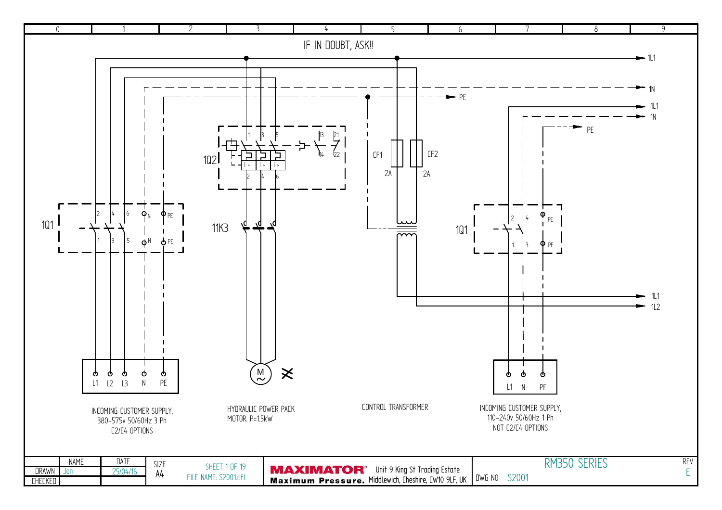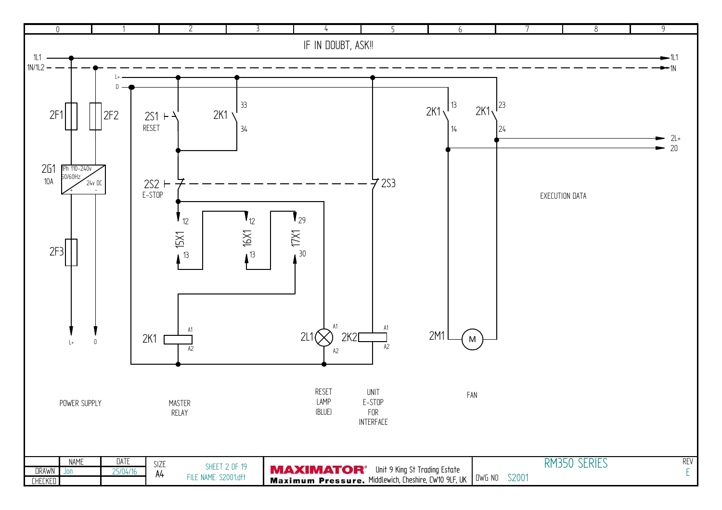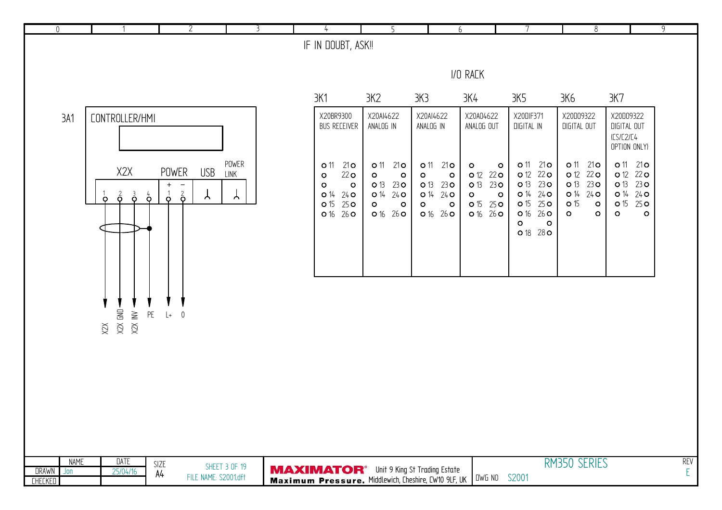| $\mathbb O$          |             |                                                                            | $\overline{2}$                                                          | 3                          | 4                                                                                                                                                 | 5                                                                                                                                             |                                                                                                                                                    | 6                                                                                                                                           | 7                                                                                                                                                         | $\overline{8}$                                                                                                                                                |                                                                                                                                                  | $\overline{9}$  |
|----------------------|-------------|----------------------------------------------------------------------------|-------------------------------------------------------------------------|----------------------------|---------------------------------------------------------------------------------------------------------------------------------------------------|-----------------------------------------------------------------------------------------------------------------------------------------------|----------------------------------------------------------------------------------------------------------------------------------------------------|---------------------------------------------------------------------------------------------------------------------------------------------|-----------------------------------------------------------------------------------------------------------------------------------------------------------|---------------------------------------------------------------------------------------------------------------------------------------------------------------|--------------------------------------------------------------------------------------------------------------------------------------------------|-----------------|
|                      |             |                                                                            |                                                                         |                            | IF IN DOUBT, ASK!!                                                                                                                                |                                                                                                                                               |                                                                                                                                                    |                                                                                                                                             |                                                                                                                                                           |                                                                                                                                                               |                                                                                                                                                  |                 |
|                      |             |                                                                            |                                                                         |                            |                                                                                                                                                   |                                                                                                                                               |                                                                                                                                                    | I/O RACK                                                                                                                                    |                                                                                                                                                           |                                                                                                                                                               |                                                                                                                                                  |                 |
|                      |             |                                                                            |                                                                         |                            | 3K1                                                                                                                                               | 3K2                                                                                                                                           | 3K3                                                                                                                                                | 3K4                                                                                                                                         | 3K5                                                                                                                                                       | 3K6                                                                                                                                                           | 3K7                                                                                                                                              |                 |
| 3A1                  |             | CONTROLLER/HMI                                                             |                                                                         |                            | X20BR9300<br><b>BUS RECEIVER</b>                                                                                                                  | X20AI4622<br>ANALOG IN                                                                                                                        | X20AI4622<br>ANALOG IN                                                                                                                             | X20A04622<br>ANALOG OUT                                                                                                                     | X20DIF371<br>DIGITAL IN                                                                                                                                   | X20D09322<br>DIGITAL OUT                                                                                                                                      | X20D09322<br>DIGITAL OUT<br>ICS/C2/C4<br>OPTION ONLY)                                                                                            |                 |
|                      |             | X2X<br>$\vec{\mathbf{\circ}}$<br>$\vec{\mathsf{Q}}$<br>$\sigma$<br>$\circ$ | POWER<br>USB<br>$+$<br>$\sim$<br>$\frac{2}{9}$<br>$\sigma$<br>$\lambda$ | POWER<br>LINK<br>$\forall$ | <b>o</b> 11<br>21 <sub>O</sub><br>22 <sub>O</sub><br>$\circ$<br>$\circ$<br>$\circ$<br>$24$ O<br>O <sub>14</sub><br>25 <sub>O</sub><br><b>o</b> 15 | 21 <sub>O</sub><br><b>0</b> 11<br>$\circ$<br>$\circ$<br>O <sub>13</sub><br>23 <sub>O</sub><br>O <sub>14</sub><br>$24$ O<br>$\circ$<br>$\circ$ | 21 <sub>O</sub><br><b>o</b> 11<br>$\circ$<br>$\mathbf{o}$<br>O <sub>13</sub><br>23 <sub>O</sub><br>O <sup>14</sup><br>$24$ O<br>$\circ$<br>$\circ$ | $\circ$<br>$\circ$<br>22 <sub>O</sub><br><b>o</b> 12<br>O <sub>13</sub><br>230<br>$\circ$<br>$\mathbf{o}$<br><b>o</b> 15<br>25 <sub>O</sub> | <b>o</b> 11<br>21 <sub>O</sub><br>22 <sub>O</sub><br><b>o</b> 12<br>23 <sub>O</sub><br>O <sub>13</sub><br>O 14 24 O<br>O <sub>15</sub><br>25 <sub>O</sub> | <b>o</b> 11<br>21 <sub>O</sub><br><b>o</b> 12<br>22 <sub>O</sub><br>23 <sub>O</sub><br>O <sub>13</sub><br>O <sub>14</sub><br>$24$ O<br><b>o</b> 15<br>$\circ$ | 0 11 21 0<br><b>o</b> 12<br>22 <sub>O</sub><br>O <sub>13</sub><br>23 <sub>O</sub><br>O <sub>14</sub><br>$24$ O<br><b>o</b> 15<br>25 <sub>o</sub> |                 |
|                      |             |                                                                            |                                                                         |                            | 016260                                                                                                                                            | 0 16 26 0                                                                                                                                     | 0 16 26 0                                                                                                                                          | 0 16 26 0                                                                                                                                   | $26$ O<br>O 16<br>$\circ$<br>$\circ$<br>0 18 28 0                                                                                                         | $\circ$<br>$\circ$                                                                                                                                            | $\circ$<br>$\circ$                                                                                                                               |                 |
|                      |             | $X2X$ GND<br>X2X INV<br>$\mathsf{PE}$<br>XZX                               | $\overline{0}$<br>$\downarrow$                                          |                            |                                                                                                                                                   |                                                                                                                                               |                                                                                                                                                    |                                                                                                                                             |                                                                                                                                                           |                                                                                                                                                               |                                                                                                                                                  |                 |
|                      |             |                                                                            |                                                                         |                            |                                                                                                                                                   |                                                                                                                                               |                                                                                                                                                    |                                                                                                                                             |                                                                                                                                                           |                                                                                                                                                               |                                                                                                                                                  |                 |
| DRAWN Jon<br>CHECKED | <b>NAME</b> | DATE<br>25/04/16                                                           | SIZE<br>A4<br>FILE NAME: S2001.dft                                      | <b>SHEET 3 OF 19</b>       | <b>MAXIMATOR</b> <sup>®</sup> Unit 9 King St Trading Estate<br>Maximum Pressure. Middlewich, Cheshire, CW10 9LF, UK UWG NO                        |                                                                                                                                               |                                                                                                                                                    |                                                                                                                                             | S2001                                                                                                                                                     | RM350 SERIES                                                                                                                                                  |                                                                                                                                                  | <b>REV</b><br>E |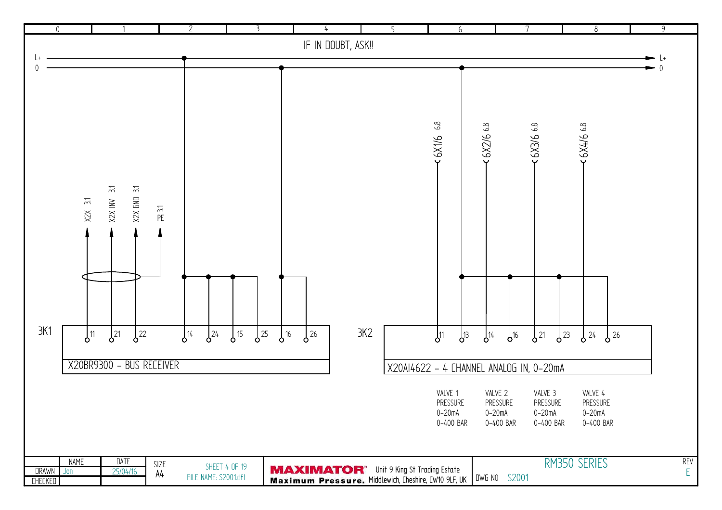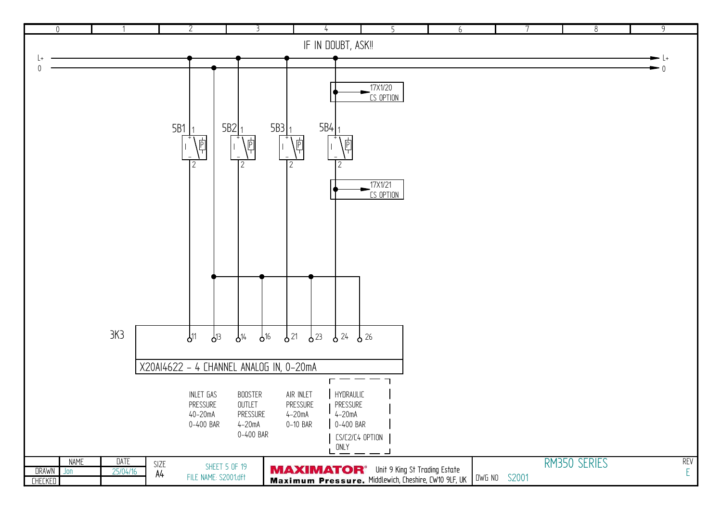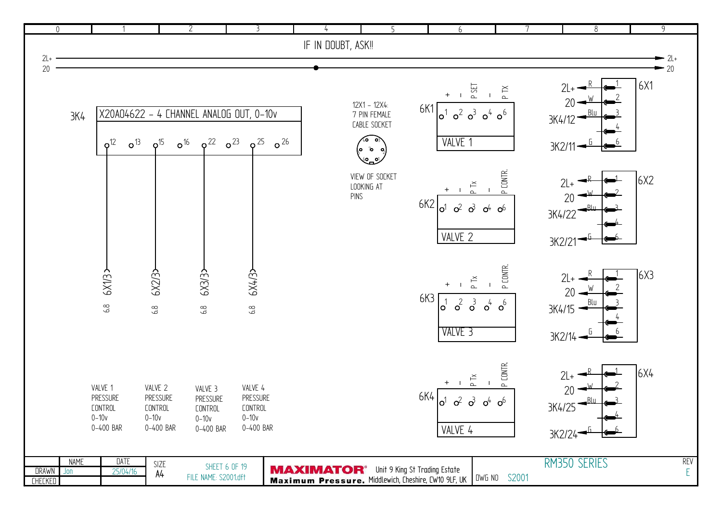|                      | $\overline{0}$  |                                                                 |                                                                 | $\overline{2}$                                                                     | 3                                                             |                    | 5                                                                      | 6                                                                         | 7                                                                  | $\,8\,$                                      | $\overline{9}$     |
|----------------------|-----------------|-----------------------------------------------------------------|-----------------------------------------------------------------|------------------------------------------------------------------------------------|---------------------------------------------------------------|--------------------|------------------------------------------------------------------------|---------------------------------------------------------------------------|--------------------------------------------------------------------|----------------------------------------------|--------------------|
|                      |                 |                                                                 |                                                                 |                                                                                    |                                                               | IF IN DOUBT, ASK!! |                                                                        |                                                                           |                                                                    |                                              |                    |
| $2L+$                |                 |                                                                 |                                                                 |                                                                                    |                                                               |                    |                                                                        |                                                                           |                                                                    |                                              | $-2l+$             |
| 20                   |                 |                                                                 |                                                                 |                                                                                    |                                                               |                    |                                                                        |                                                                           |                                                                    |                                              | $-20$              |
|                      | 3K <sub>4</sub> | o <sup>13</sup><br>o <sup>12</sup>                              | o <sup>15</sup>                                                 | X20A04622 - 4 CHANNEL ANALOG OUT, 0-10v<br>$o^{22}$<br>$o^{23}$<br>o <sup>16</sup> | $\sigma^{26}$<br>$\varphi^{25}$                               |                    | 12X1 - 12X4:<br>7 PIN FEMALE<br>CABLE SOCKET<br>40<br>ة <b>م</b><br>60 | P SET<br>6K1<br>$\sigma^3$<br>$\sigma^2$<br>lo'<br>VALVE 1                | $\mathbb P$ TX<br>$\mathbf{I}$<br>o <sup>4</sup><br>o <sup>6</sup> | $2L+$<br>20<br>3K4/12<br>3K2/11              | 6X1                |
|                      |                 |                                                                 |                                                                 |                                                                                    |                                                               |                    | VIEW OF SOCKET<br>LOOKING AT<br>PINS                                   | P Tx<br>6K2<br>$\sigma^2$ $\sigma^3$<br>o1<br>VALVE 2                     | P CONTR.<br>-1<br>$o4$ $o6$                                        | $2L+$<br>20<br>3K4/22<br>3K2/21              | 6X2                |
|                      |                 | <b>EXV3</b><br>$6.8$                                            | 6X2/3><br>6.8                                                   | 6X3/3><br>$6.8\,$                                                                  | 6X4/3><br>$6.8\,$                                             |                    |                                                                        | P Tx<br>6K3<br>$\sigma^3$<br>$\sigma^2$<br>$\circ'$<br>VALVE <sub>3</sub> | P CONTR.<br>$o^4$<br>$o^6$                                         | $2L+$<br>20<br>3K4/15<br>$3K2/14 -$          | $\left[6X3\right]$ |
|                      |                 | VALVE 1<br>PRESSURE<br><b>CONTROL</b><br>$0 - 10v$<br>0-400 BAR | VALVE 2<br>PRESSURE<br><b>CONTROL</b><br>$0 - 10v$<br>0-400 BAR | VALVE 3<br>PRESSURE<br><b>CONTROL</b><br>$0 - 10v$<br>0-400 BAR                    | VALVE 4<br>PRESSURE<br><b>CONTROL</b><br>$0-10v$<br>0-400 BAR |                    |                                                                        | $P$ Tx<br>6K4<br>$\sigma^2$<br>$\sigma^3$<br>$\mathsf{o}^1$<br>VALVE 4    | P CONTR.<br>o <sup>4</sup><br>o <sup>6</sup>                       | $2L+$<br>20<br>3K4/25<br>3K2/24 <sup>-</sup> | 6X4                |
| DRAWN Jon<br>CHECKED | <b>NAME</b>     | <b>DATE</b><br>25/04/16                                         | SIZE<br>А4                                                      | <b>SHEET 6 OF 19</b><br>FILE NAME: S2001.dft                                       |                                                               |                    | <b>MAXIMATOR</b> <sup>®</sup> Unit 9 King St Trading Estate            | Maximum Pressure. Middlewich, Cheshire, CW10 9LF, UK UWG NO S2001         |                                                                    | RM350 SERIES                                 | REV<br>E           |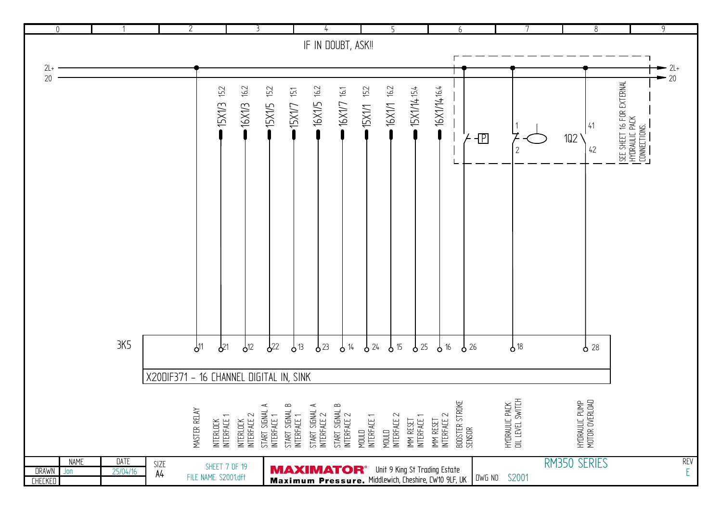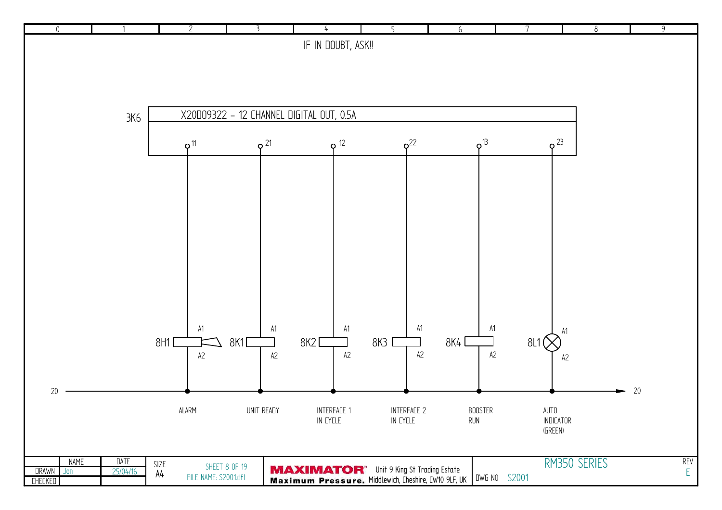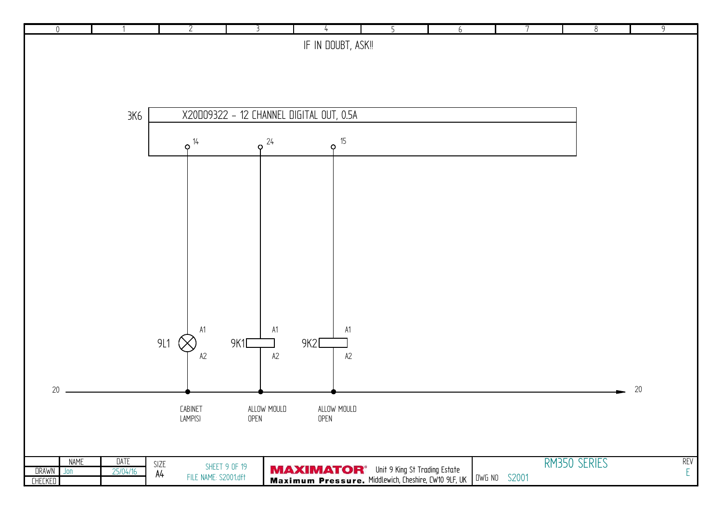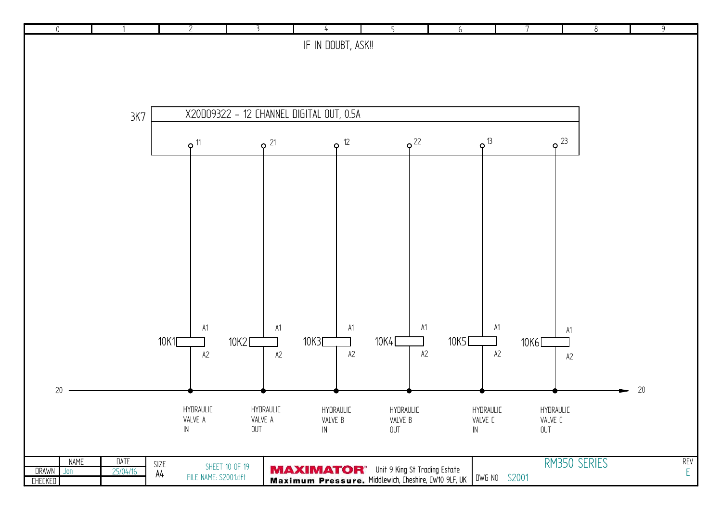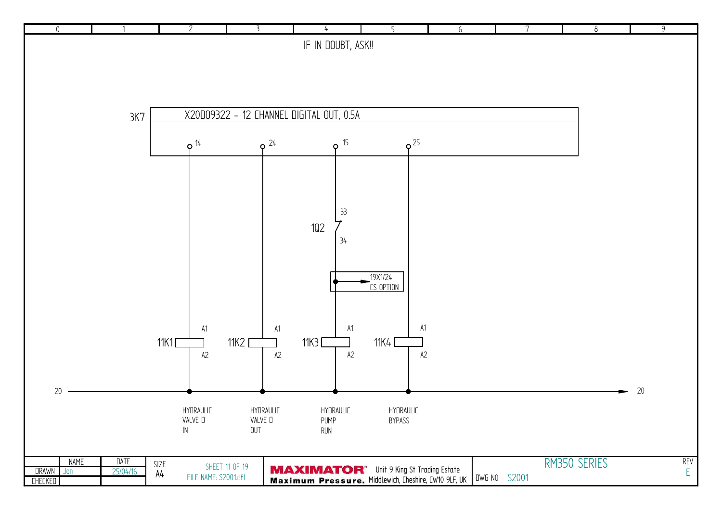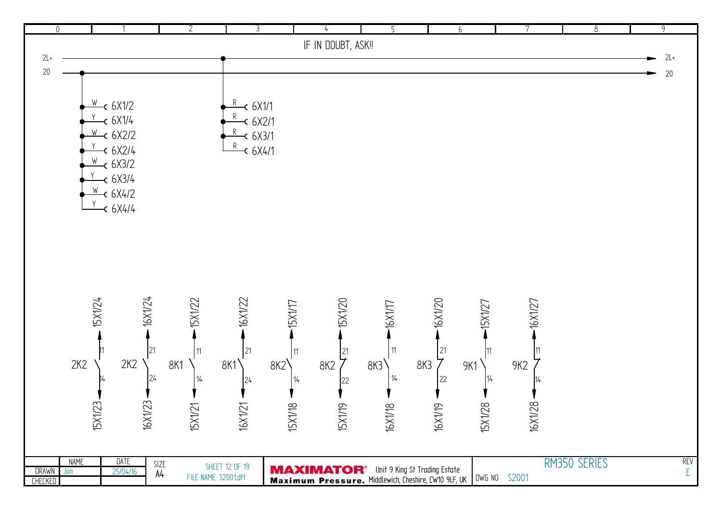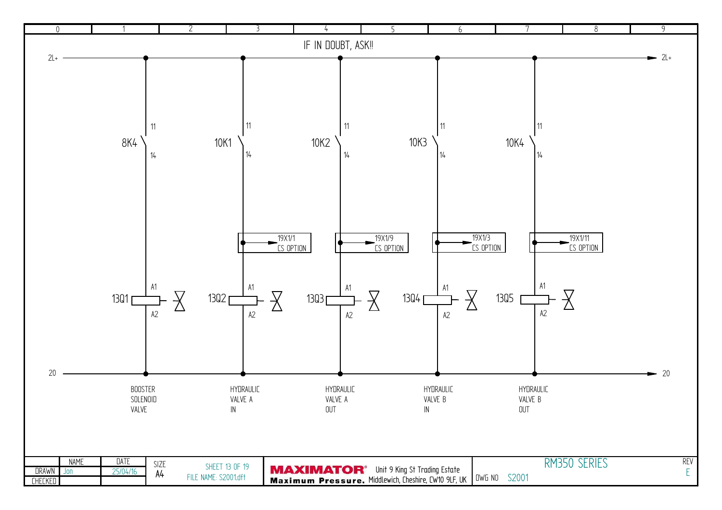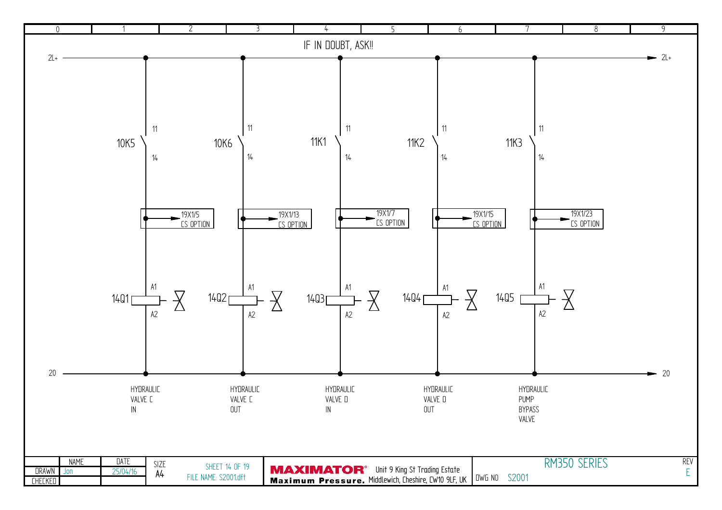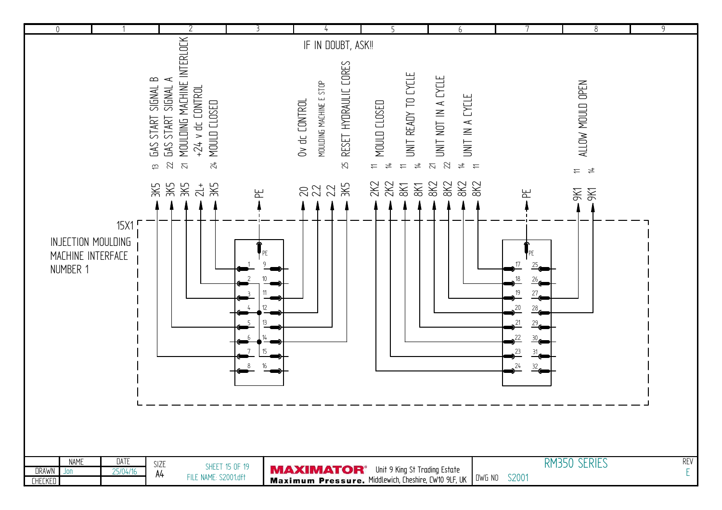| $\mathbf 0$                                      |                                   |                                         | 2                                                                                                                              | 3                   |                                                                                                                     | 5                                                                                                                              | 6                                                                                       |                                                                                                | 8                                                         | $\overline{9}$  |
|--------------------------------------------------|-----------------------------------|-----------------------------------------|--------------------------------------------------------------------------------------------------------------------------------|---------------------|---------------------------------------------------------------------------------------------------------------------|--------------------------------------------------------------------------------------------------------------------------------|-----------------------------------------------------------------------------------------|------------------------------------------------------------------------------------------------|-----------------------------------------------------------|-----------------|
|                                                  |                                   |                                         |                                                                                                                                |                     | IF IN DOUBT, ASK!!                                                                                                  |                                                                                                                                |                                                                                         |                                                                                                |                                                           |                 |
|                                                  |                                   | GAS START SIGNAL B<br>$\widetilde{\Xi}$ | MOULDING MACHINE INTERLOCK<br>GAS START SIGNAL A<br>$+24$ v dc CONTROL<br>MOULD CLOSED<br>22<br>24<br>$\overline{\mathcal{S}}$ |                     | RESET HYDRAULIC CORES<br>MOULDING MACHINE E STOP<br>Ov dc CONTROL<br>25                                             | UNIT READY TO CYCLE<br>MOULD CLOSED<br>$\overline{4}$<br>$\rightleftarrows$<br>$\overline{\overline{a}}$<br>$\rightleftarrows$ | UNIT NOT IN A CYCLE<br>UNIT IN A CYCLE<br>22<br>$\overline{\sim}$<br>$\neq$<br>$\equiv$ |                                                                                                | ALLOW MOULD OPEN<br>$\frac{4}{5}$<br>$\rightleftharpoons$ |                 |
|                                                  |                                   | 3K5                                     | ЗK5<br>ЗK5<br>ЗK5<br>$\frac{1}{2}$                                                                                             | 巴                   | 222 X                                                                                                               | 2K2<br>28 <sub>8</sub><br>8K                                                                                                   | 8K2<br>8K2<br>8K2<br>8K2                                                                | 노                                                                                              | <b>DKS</b><br>9K1                                         |                 |
|                                                  |                                   |                                         |                                                                                                                                |                     |                                                                                                                     |                                                                                                                                |                                                                                         |                                                                                                |                                                           |                 |
| MACHINE INTERFACE<br>NUMBER 1                    | 15X1<br><b>INJECTION MOULDING</b> |                                         |                                                                                                                                | 12<br>15<br>16<br>8 |                                                                                                                     |                                                                                                                                |                                                                                         | $^{26}$<br>19<br>27 <sub>6</sub><br>20<br>28 <sub>6</sub><br>21<br>29.<br>23<br>31<br>24<br>32 |                                                           |                 |
| <b>NAME</b><br><b>DRAWN</b><br>$J$ on<br>CHECKED | <b>DATE</b><br>25/04/16           | SIZE<br>A4                              | FILE NAME: S2001.dft                                                                                                           | SHEET 15 OF 19      | <b>MAXIMATOR</b> <sup>®</sup> Unit 9 King St Trading Estate<br>Maximum Pressure. Middlewich, Cheshire, CW10 9LF, UK |                                                                                                                                |                                                                                         | DWG NO S2001                                                                                   | RM350 SERIES                                              | <b>REV</b><br>E |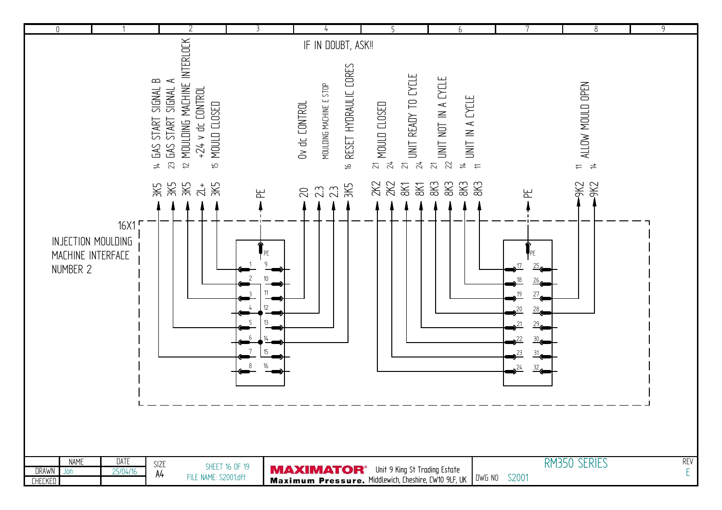| $\mathbf{0}$                                            |                            | $\overline{2}$                                                                                                                                                         | 3                               |                                                                                                                                  |                                                                                      | 6                                                                    |                                  | 8                                                   | $\overline{9}$  |
|---------------------------------------------------------|----------------------------|------------------------------------------------------------------------------------------------------------------------------------------------------------------------|---------------------------------|----------------------------------------------------------------------------------------------------------------------------------|--------------------------------------------------------------------------------------|----------------------------------------------------------------------|----------------------------------|-----------------------------------------------------|-----------------|
|                                                         |                            |                                                                                                                                                                        |                                 | IF IN DOUBT, ASK!!                                                                                                               |                                                                                      |                                                                      |                                  |                                                     |                 |
|                                                         |                            | MOULDING MACHINE INTERLOCK<br>GAS START SIGNAL B<br>GAS START SIGNAL A<br>$+24$ v dc $COMFROL$<br>MOULD CLOSED<br>23<br>$\overline{2}$<br>#<br>$\overline{\mathsf{f}}$ |                                 | RESET HYDRAULIC CORES<br>MOULDING MACHINE E STOP<br>Ov dc CONTROL<br>$\Rightarrow$                                               | UNIT READY TO CYCLE<br>$\frac{21}{24}$ MOULD CLOSED<br>$\overline{z}$ $\overline{z}$ | $\frac{21}{22}$ unit not in a cycle<br>$\frac{n}{n}$ UNIT IN A CYCLE |                                  | ALLOW MOULD OPEN<br>$\Rightarrow$<br>$\overline{4}$ |                 |
| MACHINE INTERFACE<br>NUMBER 2                           | 16X1<br>INJECTION MOULDING | ЗK5<br>ЗK5<br>ЗK5<br>3K5<br>$\frac{1}{2}$                                                                                                                              | 뇬<br>10<br>12<br>13<br>15<br>16 | ЗK5<br>23<br>23<br>$\infty$                                                                                                      | 2K2<br>2K2<br>8K<br>8K1                                                              | 8K <sub>3</sub><br>8K3<br>8K3<br>8K3                                 | 노<br>19<br>.20<br>21<br>23<br>24 | <b>SKS</b><br><b>DKG</b>                            |                 |
| <b>NAME</b><br><b>DRAWN</b><br>$J$ on<br><b>CHECKED</b> | DATE<br>25/04/16           | SIZE<br>A4<br>FILE NAME: S2001.dft                                                                                                                                     | SHEET 16 OF 19                  | <b>MAXIMATOR</b> <sup>®</sup> Unit 9 King St Trading Estate<br>Maximum Pressure. Middlewich, Cheshire, CW10 9LF, UK UWG NO S2001 |                                                                                      |                                                                      |                                  | RM350 SERIES                                        | <b>REV</b><br>E |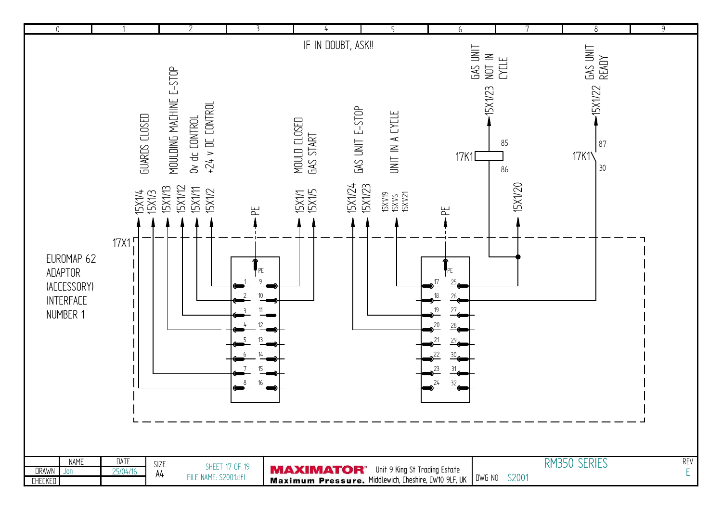| $\mathbb O$                           |                      | $\overline{2}$                                                 | 3              |                             |                                                             | 6                                |                 | 8                 | $\overline{9}$   |
|---------------------------------------|----------------------|----------------------------------------------------------------|----------------|-----------------------------|-------------------------------------------------------------|----------------------------------|-----------------|-------------------|------------------|
|                                       |                      |                                                                |                | IF IN DOUBT, ASK !!         |                                                             |                                  |                 |                   |                  |
|                                       |                      |                                                                |                |                             |                                                             | <b>GAS UNIT</b>                  | NOT IN<br>CYCLE | GAS UNIT<br>READY |                  |
|                                       |                      |                                                                |                |                             |                                                             |                                  |                 |                   |                  |
|                                       |                      |                                                                |                |                             |                                                             |                                  |                 |                   |                  |
|                                       |                      |                                                                |                |                             |                                                             | <b>ISX1/23</b>                   |                 | -15X1/22          |                  |
|                                       |                      |                                                                |                |                             |                                                             |                                  |                 |                   |                  |
|                                       | <b>GUARDS CLOSED</b> | MOULDING MACHINE E-STOP<br>$+24$ v DC CONTROL<br>Ov dc CONTROL |                |                             | GAS UNIT E-STOP<br>UNIT IN A EYELE                          |                                  | 85              | 87                |                  |
|                                       |                      |                                                                |                |                             |                                                             | 17K1D                            |                 | 17K1 <sup>'</sup> |                  |
|                                       |                      |                                                                |                | MOULD CLOSED<br>GAS START   |                                                             |                                  | 86              | 30                |                  |
|                                       |                      |                                                                |                |                             |                                                             |                                  |                 |                   |                  |
|                                       | 15X1/4<br>15X1/3     | <b>ISX1/12</b><br><b>15X1/13</b><br><b>ISX1/11</b><br>15X1/2   | 뇬              | 15X1/24<br>TSX1/1<br>TSX1/5 | <b>15X1/23</b><br>15X1/19<br>15X1/6<br>15X1/21              | E                                | <b>15X1/20</b>  |                   |                  |
|                                       |                      |                                                                |                |                             |                                                             |                                  |                 |                   |                  |
|                                       | 17X1                 |                                                                |                |                             |                                                             |                                  |                 |                   |                  |
| EUROMAP 62                            |                      |                                                                |                |                             |                                                             |                                  |                 |                   |                  |
| ADAPTOR                               |                      |                                                                | PE             |                             |                                                             | PE.                              |                 |                   |                  |
| (ACCESSORY)                           |                      |                                                                |                |                             |                                                             | 17<br>$\frac{25}{10}$            |                 |                   |                  |
| <b>INTERFACE</b>                      |                      |                                                                | 10             |                             |                                                             | 18<br>$\frac{26}{10}$            |                 |                   |                  |
| NUMBER 1                              |                      |                                                                | 12             |                             |                                                             | 19<br>$\frac{27}{6}$<br>20       |                 |                   |                  |
|                                       |                      |                                                                |                |                             |                                                             | $\frac{28}{9}$<br>$\frac{29}{6}$ |                 |                   |                  |
|                                       |                      |                                                                |                |                             |                                                             | $\frac{30}{6}$                   |                 |                   |                  |
|                                       |                      |                                                                | 15             |                             |                                                             | 23                               |                 |                   |                  |
|                                       |                      |                                                                | 16             |                             |                                                             | 24<br>32.                        |                 |                   |                  |
|                                       |                      |                                                                |                |                             |                                                             |                                  |                 |                   |                  |
|                                       |                      |                                                                |                |                             |                                                             |                                  |                 |                   |                  |
|                                       |                      |                                                                |                |                             |                                                             |                                  |                 |                   |                  |
|                                       |                      |                                                                |                |                             |                                                             |                                  |                 |                   |                  |
| <b>NAME</b><br><b>DRAWN</b><br>$J$ on | DATE<br>25/04/16     | SIZE                                                           | SHEET 17 OF 19 |                             | <b>MAXIMATOR</b> <sup>®</sup> Unit 9 King St Trading Estate |                                  |                 | RM350 SERIES      | <b>REV</b><br>E, |
| <b>CHECKED</b>                        |                      | A4<br>FILE NAME: S2001.dft                                     |                |                             | Maximum Pressure. Middlewich, Cheshire, CW10 9LF, UK        |                                  | DWG NO S2001    |                   |                  |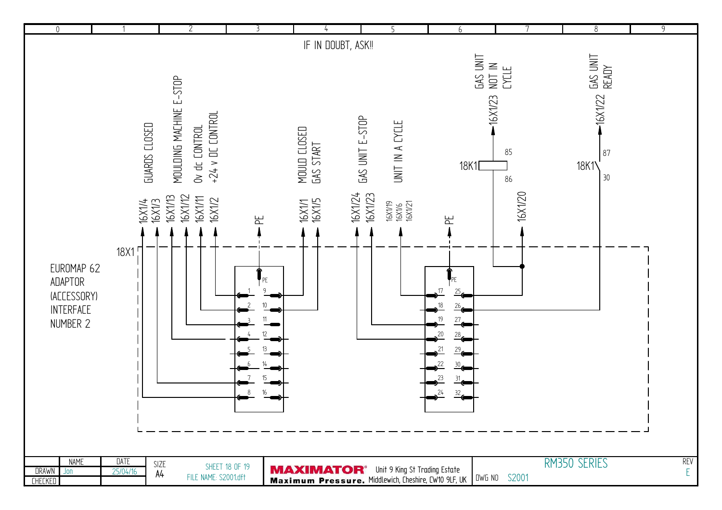